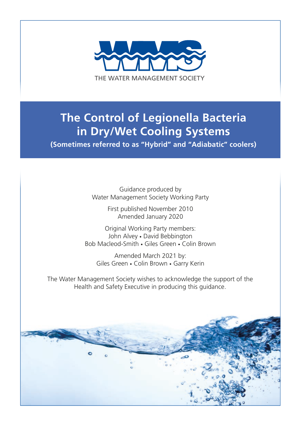

# **The Control of Legionella Bacteria in Dry/Wet Cooling Systems**

**(Sometimes referred to as "Hybrid" and "Adiabatic" coolers)**

Guidance produced by Water Management Society Working Party

> First published November 2010 Amended January 2020

Original Working Party members: John Alvey • David Bebbington Bob Macleod-Smith • Giles Green • Colin Brown

Amended March 2021 by: Giles Green • Colin Brown • Garry Kerin

The Water Management Society wishes to acknowledge the support of the Health and Safety Executive in producing this guidance.

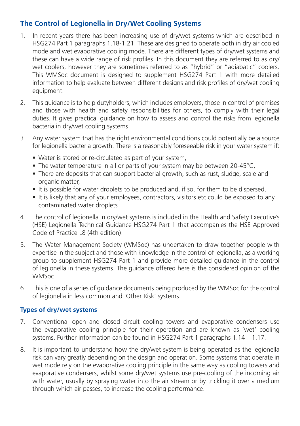### **The Control of Legionella in Dry/Wet Cooling Systems**

- 1. In recent years there has been increasing use of dry/wet systems which are described in HSG274 Part 1 paragraphs 1.18-1.21. These are designed to operate both in dry air cooled mode and wet evaporative cooling mode. There are different types of dry/wet systems and these can have a wide range of risk profiles. In this document they are referred to as dry/ wet coolers, however they are sometimes referred to as "hybrid" or "adiabatic" coolers. This WMSoc document is designed to supplement HSG274 Part 1 with more detailed information to help evaluate between different designs and risk profiles of dry/wet cooling equipment.
- 2. This guidance is to help dutyholders, which includes employers, those in control of premises and those with health and safety responsibilities for others, to comply with their legal duties. It gives practical guidance on how to assess and control the risks from legionella bacteria in dry/wet cooling systems.
- 3. Any water system that has the right environmental conditions could potentially be a source for legionella bacteria growth. There is a reasonably foreseeable risk in your water system if:
	- Water is stored or re-circulated as part of your system,
	- The water temperature in all or parts of your system may be between 20-45°C,
	- There are deposits that can support bacterial growth, such as rust, sludge, scale and organic matter,
	- It is possible for water droplets to be produced and, if so, for them to be dispersed,
	- It is likely that any of your employees, contractors, visitors etc could be exposed to any contaminated water droplets.
- 4. The control of legionella in dry/wet systems is included in the Health and Safety Executive's (HSE) Legionella Technical Guidance HSG274 Part 1 that accompanies the HSE Approved Code of Practice L8 (4th edition).
- 5. The Water Management Society (WMSoc) has undertaken to draw together people with expertise in the subject and those with knowledge in the control of legionella, as a working group to supplement HSG274 Part 1 and provide more detailed guidance in the control of legionella in these systems. The guidance offered here is the considered opinion of the WMSoc.
- 6. This is one of a series of guidance documents being produced by the WMSoc for the control of legionella in less common and 'Other Risk' systems.

#### **Types of dry/wet systems**

- 7. Conventional open and closed circuit cooling towers and evaporative condensers use the evaporative cooling principle for their operation and are known as 'wet' cooling systems. Further information can be found in HSG274 Part 1 paragraphs 1.14 – 1.17.
- 8. It is important to understand how the dry/wet system is being operated as the legionella risk can vary greatly depending on the design and operation. Some systems that operate in wet mode rely on the evaporative cooling principle in the same way as cooling towers and evaporative condensers, whilst some dry/wet systems use pre-cooling of the incoming air with water, usually by spraying water into the air stream or by trickling it over a medium through which air passes, to increase the cooling performance.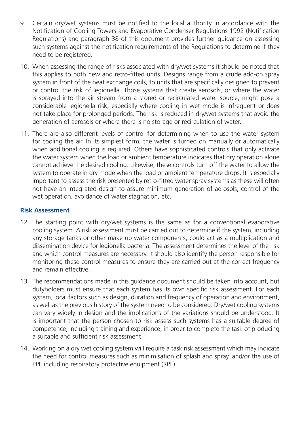- 9. Certain dry/wet systems must be notified to the local authority in accordance with the Notification of Cooling Towers and Evaporative Condenser Regulations 1992 (Notification Regulations) and paragraph 38 of this document provides further guidance on assessing such systems against the notification requirements of the Regulations to determine if they need to be registered.
- 10. When assessing the range of risks associated with dry/wet systems it should be noted that this applies to both new and retro-fitted units. Designs range from a crude add-on spray system in front of the heat exchange coils, to units that are specifically designed to prevent or control the risk of legionella. Those systems that create aerosols, or where the water is sprayed into the air stream from a stored or recirculated water source, might pose a considerable legionella risk, especially where cooling in wet mode is infrequent or does not take place for prolonged periods. The risk is reduced in dry/wet systems that avoid the generation of aerosols or where there is no storage or recirculation of water.
- 11. There are also different levels of control for determining when to use the water system for cooling the air. In its simplest form, the water is turned on manually or automatically when additional cooling is required. Others have sophisticated controls that only activate the water system when the load or ambient temperature indicates that dry operation alone cannot achieve the desired cooling. Likewise, these controls turn off the water to allow the system to operate in dry mode when the load or ambient temperature drops. It is especially important to assess the risk presented by retro-fitted water spray systems as these will often not have an integrated design to assure minimum generation of aerosols, control of the wet operation, avoidance of water stagnation, etc.

#### **Risk Assessment**

- 12. The starting point with dry/wet systems is the same as for a conventional evaporative cooling system. A risk assessment must be carried out to determine if the system, including any storage tanks or other make up water components, could act as a multiplication and dissemination device for legionella bacteria. The assessment determines the level of the risk and which control measures are necessary. It should also identify the person responsible for monitoring these control measures to ensure they are carried out at the correct frequency and remain effective.
- 13. The recommendations made in this guidance document should be taken into account, but dutyholders must ensure that each system has its own specific risk assessment. For each system, local factors such as design, duration and frequency of operation and environment, as well as the previous history of the system need to be considered. Dry/wet cooling systems can vary widely in design and the implications of the variations should be understood. It is important that the person chosen to risk assess such systems has a suitable degree of competence, including training and experience, in order to complete the task of producing a suitable and sufficient risk assessment.
- 14. Working on a dry wet cooling system will require a task risk assessment which may indicate the need for control measures such as minimisation of splash and spray, and/or the use of PPE including respiratory protective equipment (RPE).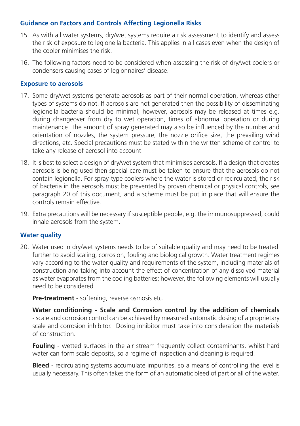#### **Guidance on Factors and Controls Affecting Legionella Risks**

- 15. As with all water systems, dry/wet systems require a risk assessment to identify and assess the risk of exposure to legionella bacteria. This applies in all cases even when the design of the cooler minimises the risk.
- 16. The following factors need to be considered when assessing the risk of dry/wet coolers or condensers causing cases of legionnaires' disease.

#### **Exposure to aerosols**

- 17. Some dry/wet systems generate aerosols as part of their normal operation, whereas other types of systems do not. If aerosols are not generated then the possibility of disseminating legionella bacteria should be minimal; however, aerosols may be released at times e.g. during changeover from dry to wet operation, times of abnormal operation or during maintenance. The amount of spray generated may also be influenced by the number and orientation of nozzles, the system pressure, the nozzle orifice size, the prevailing wind directions, etc. Special precautions must be stated within the written scheme of control to take any release of aerosol into account.
- 18. It is best to select a design of dry/wet system that minimises aerosols. If a design that creates aerosols is being used then special care must be taken to ensure that the aerosols do not contain legionella. For spray-type coolers where the water is stored or recirculated, the risk of bacteria in the aerosols must be prevented by proven chemical or physical controls, see paragraph 20 of this document, and a scheme must be put in place that will ensure the controls remain effective.
- 19. Extra precautions will be necessary if susceptible people, e.g. the immunosuppressed, could inhale aerosols from the system.

#### **Water quality**

20. Water used in dry/wet systems needs to be of suitable quality and may need to be treated further to avoid scaling, corrosion, fouling and biological growth. Water treatment regimes vary according to the water quality and requirements of the system, including materials of construction and taking into account the effect of concentration of any dissolved material as water evaporates from the cooling batteries; however, the following elements will usually need to be considered.

**Pre-treatment** - softening, reverse osmosis etc.

**Water conditioning - Scale and Corrosion control by the addition of chemicals**  - scale and corrosion control can be achieved by measured automatic dosing of a proprietary scale and corrosion inhibitor. Dosing inhibitor must take into consideration the materials of construction.

**Fouling** - wetted surfaces in the air stream frequently collect contaminants, whilst hard water can form scale deposits, so a regime of inspection and cleaning is required.

**Bleed** - recirculating systems accumulate impurities, so a means of controlling the level is usually necessary. This often takes the form of an automatic bleed of part or all of the water.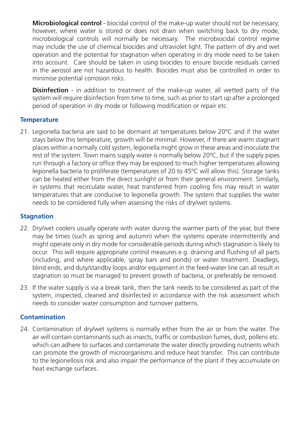**Microbiological control** - biocidal control of the make-up water should not be necessary; however, where water is stored or does not drain when switching back to dry mode, microbiological controls will normally be necessary. The microbiocidal control regime may include the use of chemical biocides and ultraviolet light. The pattern of dry and wet operation and the potential for stagnation when operating in dry mode need to be taken into account. Care should be taken in using biocides to ensure biocide residuals carried in the aerosol are not hazardous to health. Biocides must also be controlled in order to minimise potential corrosion risks.

**Disinfection** - in addition to treatment of the make-up water, all wetted parts of the system will require disinfection from time to time, such as prior to start up after a prolonged period of operation in dry mode or following modification or repair etc.

#### **Temperature**

21. Legionella bacteria are said to be dormant at temperatures below 20ºC and if the water stays below this temperature, growth will be minimal. However, if there are warm stagnant places within a normally cold system, legionella might grow in these areas and inoculate the rest of the system. Town mains supply water is normally below 20ºC, but if the supply pipes run through a factory or office they may be exposed to much higher temperatures allowing legionella bacteria to proliferate (temperatures of 20 to 45ºC will allow this). Storage tanks can be heated either from the direct sunlight or from their general environment. Similarly, in systems that recirculate water, heat transferred from cooling fins may result in water temperatures that are conducive to legionella growth. The system that supplies the water needs to be considered fully when assessing the risks of dry/wet systems.

#### **Stagnation**

- 22. Dry/wet coolers usually operate with water during the warmer parts of the year, but there may be times (such as spring and autumn) when the systems operate intermittently and might operate only in dry mode for considerable periods during which stagnation is likely to occur. This will require appropriate control measures e.g. draining and flushing of all parts (including, and where applicable, spray bars and ponds) or water treatment. Deadlegs, blind ends, and duty/standby loops and/or equipment in the feed-water line can all result in stagnation so must be managed to prevent growth of bacteria, or preferably be removed.
- 23. If the water supply is via a break tank, then the tank needs to be considered as part of the system, inspected, cleaned and disinfected in accordance with the risk assessment which needs to consider water consumption and turnover patterns.

#### **Contamination**

24. Contamination of dry/wet systems is normally either from the air or from the water. The air will contain contaminants such as insects, traffic or combustion fumes, dust, pollens etc. which can adhere to surfaces and contaminate the water directly providing nutrients which can promote the growth of microorganisms and reduce heat transfer. This can contribute to the legionellosis risk and also impair the performance of the plant if they accumulate on heat exchange surfaces.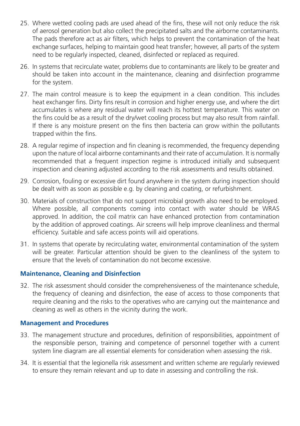- 25. Where wetted cooling pads are used ahead of the fins, these will not only reduce the risk of aerosol generation but also collect the precipitated salts and the airborne contaminants. The pads therefore act as air filters, which helps to prevent the contamination of the heat exchange surfaces, helping to maintain good heat transfer; however, all parts of the system need to be regularly inspected, cleaned, disinfected or replaced as required.
- 26. In systems that recirculate water, problems due to contaminants are likely to be greater and should be taken into account in the maintenance, cleaning and disinfection programme for the system.
- 27. The main control measure is to keep the equipment in a clean condition. This includes heat exchanger fins. Dirty fins result in corrosion and higher energy use, and where the dirt accumulates is where any residual water will reach its hottest temperature. This water on the fins could be as a result of the dry/wet cooling process but may also result from rainfall. If there is any moisture present on the fins then bacteria can grow within the pollutants trapped within the fins.
- 28. A regular regime of inspection and fin cleaning is recommended, the frequency depending upon the nature of local airborne contaminants and their rate of accumulation. It is normally recommended that a frequent inspection regime is introduced initially and subsequent inspection and cleaning adjusted according to the risk assessments and results obtained.
- 29. Corrosion, fouling or excessive dirt found anywhere in the system during inspection should be dealt with as soon as possible e.g. by cleaning and coating, or refurbishment.
- 30. Materials of construction that do not support microbial growth also need to be employed. Where possible, all components coming into contact with water should be WRAS approved. In addition, the coil matrix can have enhanced protection from contamination by the addition of approved coatings. Air screens will help improve cleanliness and thermal efficiency. Suitable and safe access points will aid operations.
- 31. In systems that operate by recirculating water, environmental contamination of the system will be greater. Particular attention should be given to the cleanliness of the system to ensure that the levels of contamination do not become excessive.

#### **Maintenance, Cleaning and Disinfection**

32. The risk assessment should consider the comprehensiveness of the maintenance schedule, the frequency of cleaning and disinfection, the ease of access to those components that require cleaning and the risks to the operatives who are carrying out the maintenance and cleaning as well as others in the vicinity during the work.

#### **Management and Procedures**

- 33. The management structure and procedures, definition of responsibilities, appointment of the responsible person, training and competence of personnel together with a current system line diagram are all essential elements for consideration when assessing the risk.
- 34. It is essential that the legionella risk assessment and written scheme are regularly reviewed to ensure they remain relevant and up to date in assessing and controlling the risk.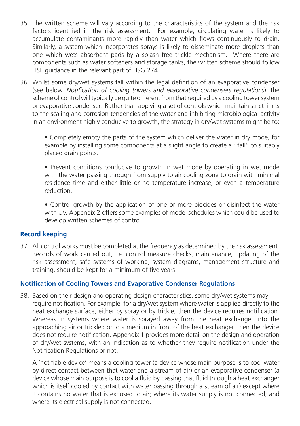- 35. The written scheme will vary according to the characteristics of the system and the risk factors identified in the risk assessment. For example, circulating water is likely to accumulate contaminants more rapidly than water which flows continuously to drain. Similarly, a system which incorporates sprays is likely to disseminate more droplets than one which wets absorbent pads by a splash free trickle mechanism. Where there are components such as water softeners and storage tanks, the written scheme should follow HSE guidance in the relevant part of HSG 274.
- 36. Whilst some dry/wet systems fall within the legal definition of an evaporative condenser (see below, *Notification of cooling towers and evaporative condensers regulations*), the scheme of control will typically be quite different from that required by a cooling tower system or evaporative condenser. Rather than applying a set of controls which maintain strict limits to the scaling and corrosion tendencies of the water and inhibiting microbiological activity in an environment highly conducive to growth, the strategy in dry/wet systems might be to:

• Completely empty the parts of the system which deliver the water in dry mode, for example by installing some components at a slight angle to create a "fall" to suitably placed drain points.

• Prevent conditions conducive to growth in wet mode by operating in wet mode with the water passing through from supply to air cooling zone to drain with minimal residence time and either little or no temperature increase, or even a temperature reduction.

• Control growth by the application of one or more biocides or disinfect the water with UV. Appendix 2 offers some examples of model schedules which could be used to develop written schemes of control.

#### **Record keeping**

37. All control works must be completed at the frequency as determined by the risk assessment. Records of work carried out, i.e. control measure checks, maintenance, updating of the risk assessment, safe systems of working, system diagrams, management structure and training, should be kept for a minimum of five years.

#### **Notification of Cooling Towers and Evaporative Condenser Regulations**

38. Based on their design and operating design characteristics, some dry/wet systems may require notification. For example, for a dry/wet system where water is applied directly to the heat exchange surface, either by spray or by trickle, then the device requires notification. Whereas in systems where water is sprayed away from the heat exchanger into the approaching air or trickled onto a medium in front of the heat exchanger, then the device does not require notification. Appendix 1 provides more detail on the design and operation of dry/wet systems, with an indication as to whether they require notification under the Notification Regulations or not.

A 'notifiable device' means a cooling tower (a device whose main purpose is to cool water by direct contact between that water and a stream of air) or an evaporative condenser (a device whose main purpose is to cool a fluid by passing that fluid through a heat exchanger which is itself cooled by contact with water passing through a stream of air) except where it contains no water that is exposed to air; where its water supply is not connected; and where its electrical supply is not connected.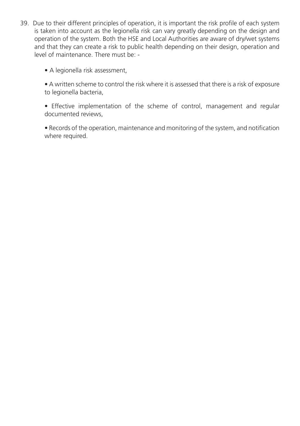39. Due to their different principles of operation, it is important the risk profile of each system is taken into account as the legionella risk can vary greatly depending on the design and operation of the system. Both the HSE and Local Authorities are aware of dry/wet systems and that they can create a risk to public health depending on their design, operation and level of maintenance. There must be: -

• A legionella risk assessment,

• A written scheme to control the risk where it is assessed that there is a risk of exposure to legionella bacteria,

• Effective implementation of the scheme of control, management and regular documented reviews,

• Records of the operation, maintenance and monitoring of the system, and notification where required.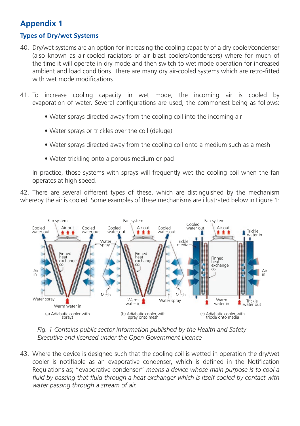# **Appendix 1**

#### **Types of Dry/wet Systems**

- 40. Dry/wet systems are an option for increasing the cooling capacity of a dry cooler/condenser (also known as air-cooled radiators or air blast coolers/condensers) where for much of the time it will operate in dry mode and then switch to wet mode operation for increased ambient and load conditions. There are many dry air-cooled systems which are retro-fitted with wet mode modifications.
- 41. To increase cooling capacity in wet mode, the incoming air is cooled by evaporation of water. Several configurations are used, the commonest being as follows:
	- Water sprays directed away from the cooling coil into the incoming air
	- Water sprays or trickles over the coil (deluge)
	- Water sprays directed away from the cooling coil onto a medium such as a mesh
	- Water trickling onto a porous medium or pad

In practice, those systems with sprays will frequently wet the cooling coil when the fan operates at high speed.

42. There are several different types of these, which are distinguished by the mechanism whereby the air is cooled. Some examples of these mechanisms are illustrated below in Figure 1:



*Fig. 1 Contains public sector information published by the Health and Safety Executive and licensed under the Open Government Licence* 

43. Where the device is designed such that the cooling coil is wetted in operation the dry/wet cooler is notifiable as an evaporative condenser, which is defined in the Notification Regulations as; "evaporative condenser" *means a device whose main purpose is to cool a*  fluid by passing that fluid through a heat exchanger which is itself cooled by contact with *water passing through a stream of air.*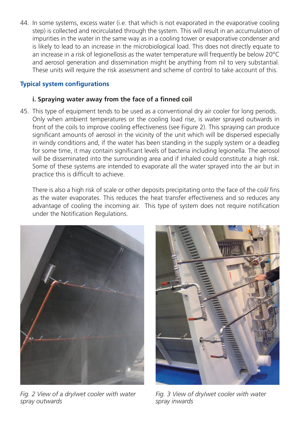44. In some systems, excess water (i.e. that which is not evaporated in the evaporative cooling step) is collected and recirculated through the system. This will result in an accumulation of impurities in the water in the same way as in a cooling tower or evaporative condenser and is likely to lead to an increase in the microbiological load. This does not directly equate to an increase in a risk of legionellosis as the water temperature will frequently be below 20°C and aerosol generation and dissemination might be anything from nil to very substantial. These units will require the risk assessment and scheme of control to take account of this.

#### **Typical system configurations**

#### **i. Spraying water away from the face of a finned coil**

45. This type of equipment tends to be used as a conventional dry air cooler for long periods. Only when ambient temperatures or the cooling load rise, is water sprayed outwards in front of the coils to improve cooling effectiveness (see Figure 2). This spraying can produce significant amounts of aerosol in the vicinity of the unit which will be dispersed especially in windy conditions and, if the water has been standing in the supply system or a deadleg for some time, it may contain significant levels of bacteria including legionella. The aerosol will be disseminated into the surrounding area and if inhaled could constitute a high risk. Some of these systems are intended to evaporate all the water sprayed into the air but in practice this is difficult to achieve.

There is also a high risk of scale or other deposits precipitating onto the face of the coil/ fins as the water evaporates. This reduces the heat transfer effectiveness and so reduces any advantage of cooling the incoming air. This type of system does not require notification under the Notification Regulations.



*Fig. 2 View of a dry/wet cooler with water spray outwards*



*Fig. 3 View of dry/wet cooler with water spray inwards*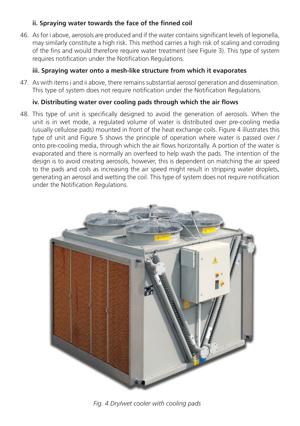#### **ii. Spraying water towards the face of the finned coil**

46. As for i above, aerosols are produced and if the water contains significant levels of legionella, may similarly constitute a high risk. This method carries a high risk of scaling and corroding of the fins and would therefore require water treatment (see Figure 3). This type of system requires notification under the Notification Regulations.

#### **iii. Spraying water onto a mesh-like structure from which it evaporates**

47. As with items i and ii above, there remains substantial aerosol generation and dissemination. This type of system does not require notification under the Notification Regulations.

#### **iv. Distributing water over cooling pads through which the air flows**

48. This type of unit is specifically designed to avoid the generation of aerosols. When the unit is in wet mode, a regulated volume of water is distributed over pre-cooling media (usually cellulose pads) mounted in front of the heat exchange coils. Figure 4 illustrates this type of unit and Figure 5 shows the principle of operation where water is passed over / onto pre-cooling media, through which the air flows horizontally. A portion of the water is evaporated and there is normally an overfeed to help wash the pads. The intention of the design is to avoid creating aerosols, however, this is dependent on matching the air speed to the pads and coils as increasing the air speed might result in stripping water droplets, generating an aerosol and wetting the coil. This type of system does not require notification under the Notification Regulations.



*Fig. 4 Dry/wet cooler with cooling pads*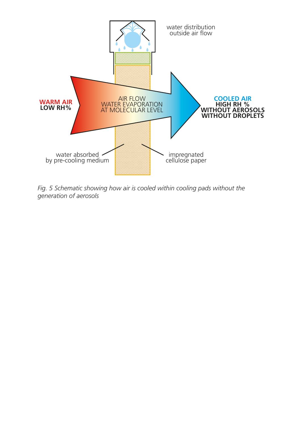

*Fig. 5 Schematic showing how air is cooled within cooling pads without the generation of aerosols*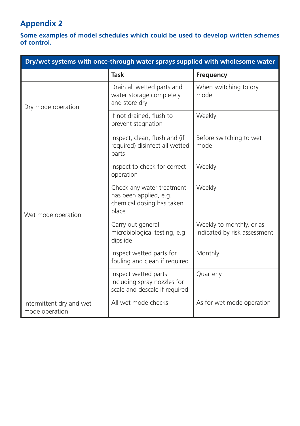# **Appendix 2**

**Some examples of model schedules which could be used to develop written schemes of control.**

| Dry/wet systems with once-through water sprays supplied with wholesome water |                                                                                           |                                                          |
|------------------------------------------------------------------------------|-------------------------------------------------------------------------------------------|----------------------------------------------------------|
|                                                                              | <b>Task</b>                                                                               | Frequency                                                |
| Dry mode operation                                                           | Drain all wetted parts and<br>water storage completely<br>and store dry                   | When switching to dry<br>mode                            |
|                                                                              | If not drained, flush to<br>prevent stagnation                                            | Weekly                                                   |
| Wet mode operation                                                           | Inspect, clean, flush and (if<br>required) disinfect all wetted<br>parts                  | Before switching to wet<br>mode                          |
|                                                                              | Inspect to check for correct<br>operation                                                 | Weekly                                                   |
|                                                                              | Check any water treatment<br>has been applied, e.g.<br>chemical dosing has taken<br>place | Weekly                                                   |
|                                                                              | Carry out general<br>microbiological testing, e.g.<br>dipslide                            | Weekly to monthly, or as<br>indicated by risk assessment |
|                                                                              | Inspect wetted parts for<br>fouling and clean if required                                 | Monthly                                                  |
|                                                                              | Inspect wetted parts<br>including spray nozzles for<br>scale and descale if required      | Quarterly                                                |
| Intermittent dry and wet<br>mode operation                                   | All wet mode checks                                                                       | As for wet mode operation                                |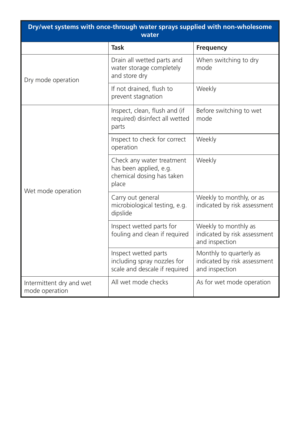| Dry/wet systems with once-through water sprays supplied with non-wholesome<br>water |                                                                                           |                                                                           |
|-------------------------------------------------------------------------------------|-------------------------------------------------------------------------------------------|---------------------------------------------------------------------------|
|                                                                                     | Task                                                                                      | <b>Frequency</b>                                                          |
| Dry mode operation                                                                  | Drain all wetted parts and<br>water storage completely<br>and store dry                   | When switching to dry<br>mode                                             |
|                                                                                     | If not drained, flush to<br>prevent stagnation                                            | Weekly                                                                    |
| Wet mode operation                                                                  | Inspect, clean, flush and (if<br>required) disinfect all wetted<br>parts                  | Before switching to wet<br>mode                                           |
|                                                                                     | Inspect to check for correct<br>operation                                                 | Weekly                                                                    |
|                                                                                     | Check any water treatment<br>has been applied, e.g.<br>chemical dosing has taken<br>place | Weekly                                                                    |
|                                                                                     | Carry out general<br>microbiological testing, e.g.<br>dipslide                            | Weekly to monthly, or as<br>indicated by risk assessment                  |
|                                                                                     | Inspect wetted parts for<br>fouling and clean if required                                 | Weekly to monthly as<br>indicated by risk assessment<br>and inspection    |
|                                                                                     | Inspect wetted parts<br>including spray nozzles for<br>scale and descale if required      | Monthly to quarterly as<br>indicated by risk assessment<br>and inspection |
| Intermittent dry and wet<br>mode operation                                          | All wet mode checks                                                                       | As for wet mode operation                                                 |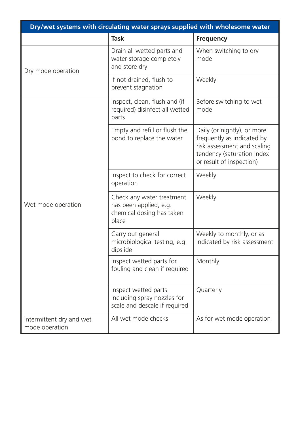| Dry/wet systems with circulating water sprays supplied with wholesome water |                                                                                           |                                                                                                                                                    |
|-----------------------------------------------------------------------------|-------------------------------------------------------------------------------------------|----------------------------------------------------------------------------------------------------------------------------------------------------|
|                                                                             | <b>Task</b>                                                                               | <b>Frequency</b>                                                                                                                                   |
| Dry mode operation                                                          | Drain all wetted parts and<br>water storage completely<br>and store dry                   | When switching to dry<br>mode                                                                                                                      |
|                                                                             | If not drained, flush to<br>prevent stagnation                                            | Weekly                                                                                                                                             |
| Wet mode operation                                                          | Inspect, clean, flush and (if<br>required) disinfect all wetted<br>parts                  | Before switching to wet<br>mode                                                                                                                    |
|                                                                             | Empty and refill or flush the<br>pond to replace the water                                | Daily (or nightly), or more<br>frequently as indicated by<br>risk assessment and scaling<br>tendency (saturation index<br>or result of inspection) |
|                                                                             | Inspect to check for correct<br>operation                                                 | Weekly                                                                                                                                             |
|                                                                             | Check any water treatment<br>has been applied, e.g.<br>chemical dosing has taken<br>place | Weekly                                                                                                                                             |
|                                                                             | Carry out general<br>microbiological testing, e.g.<br>dipslide                            | Weekly to monthly, or as<br>indicated by risk assessment                                                                                           |
|                                                                             | Inspect wetted parts for<br>fouling and clean if required                                 | Monthly                                                                                                                                            |
|                                                                             | Inspect wetted parts<br>including spray nozzles for<br>scale and descale if required      | Quarterly                                                                                                                                          |
| Intermittent dry and wet<br>mode operation                                  | All wet mode checks                                                                       | As for wet mode operation                                                                                                                          |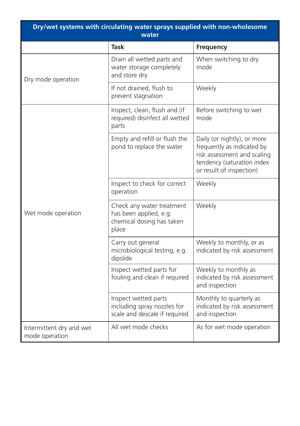| Dry/wet systems with circulating water sprays supplied with non-wholesome<br>water |                                                                                           |                                                                                                                                                    |
|------------------------------------------------------------------------------------|-------------------------------------------------------------------------------------------|----------------------------------------------------------------------------------------------------------------------------------------------------|
|                                                                                    | <b>Task</b>                                                                               | Frequency                                                                                                                                          |
| Dry mode operation                                                                 | Drain all wetted parts and<br>water storage completely<br>and store dry                   | When switching to dry<br>mode                                                                                                                      |
|                                                                                    | If not drained, flush to<br>prevent stagnation                                            | Weekly                                                                                                                                             |
| Wet mode operation                                                                 | Inspect, clean, flush and (if<br>required) disinfect all wetted<br>parts                  | Before switching to wet<br>mode                                                                                                                    |
|                                                                                    | Empty and refill or flush the<br>pond to replace the water                                | Daily (or nightly), or more<br>frequently as indicated by<br>risk assessment and scaling<br>tendency (saturation index<br>or result of inspection) |
|                                                                                    | Inspect to check for correct<br>operation                                                 | Weekly                                                                                                                                             |
|                                                                                    | Check any water treatment<br>has been applied, e.g.<br>chemical dosing has taken<br>place | Weekly                                                                                                                                             |
|                                                                                    | Carry out general<br>microbiological testing, e.g.<br>dipslide                            | Weekly to monthly, or as<br>indicated by risk assessment                                                                                           |
|                                                                                    | Inspect wetted parts for<br>fouling and clean if required                                 | Weekly to monthly as<br>indicated by risk assessment<br>and inspection                                                                             |
|                                                                                    | Inspect wetted parts<br>including spray nozzles for<br>scale and descale if required      | Monthly to quarterly as<br>indicated by risk assessment<br>and inspection                                                                          |
| Intermittent dry and wet<br>mode operation                                         | All wet mode checks                                                                       | As for wet mode operation                                                                                                                          |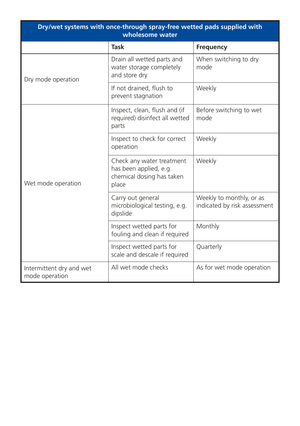| Dry/wet systems with once-through spray-free wetted pads supplied with<br>wholesome water |                                                                                           |                                                          |
|-------------------------------------------------------------------------------------------|-------------------------------------------------------------------------------------------|----------------------------------------------------------|
|                                                                                           | <b>Task</b>                                                                               | Frequency                                                |
| Dry mode operation                                                                        | Drain all wetted parts and<br>water storage completely<br>and store dry                   | When switching to dry<br>mode                            |
|                                                                                           | If not drained, flush to<br>prevent stagnation                                            | Weekly                                                   |
| Wet mode operation                                                                        | Inspect, clean, flush and (if<br>required) disinfect all wetted<br>parts                  | Before switching to wet<br>mode                          |
|                                                                                           | Inspect to check for correct<br>operation                                                 | Weekly                                                   |
|                                                                                           | Check any water treatment<br>has been applied, e.g.<br>chemical dosing has taken<br>place | Weekly                                                   |
|                                                                                           | Carry out general<br>microbiological testing, e.g.<br>dipslide                            | Weekly to monthly, or as<br>indicated by risk assessment |
|                                                                                           | Inspect wetted parts for<br>fouling and clean if required                                 | Monthly                                                  |
|                                                                                           | Inspect wetted parts for<br>scale and descale if required                                 | Quarterly                                                |
| Intermittent dry and wet<br>mode operation                                                | All wet mode checks                                                                       | As for wet mode operation                                |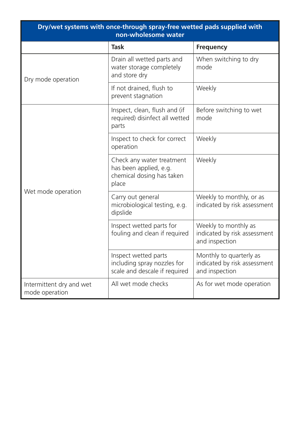| Dry/wet systems with once-through spray-free wetted pads supplied with<br>non-wholesome water |                                                                                           |                                                                           |
|-----------------------------------------------------------------------------------------------|-------------------------------------------------------------------------------------------|---------------------------------------------------------------------------|
|                                                                                               | <b>Task</b>                                                                               | <b>Frequency</b>                                                          |
| Dry mode operation                                                                            | Drain all wetted parts and<br>water storage completely<br>and store dry                   | When switching to dry<br>mode                                             |
|                                                                                               | If not drained, flush to<br>prevent stagnation                                            | Weekly                                                                    |
| Wet mode operation                                                                            | Inspect, clean, flush and (if<br>required) disinfect all wetted<br>parts                  | Before switching to wet<br>mode                                           |
|                                                                                               | Inspect to check for correct<br>operation                                                 | Weekly                                                                    |
|                                                                                               | Check any water treatment<br>has been applied, e.g.<br>chemical dosing has taken<br>place | Weekly                                                                    |
|                                                                                               | Carry out general<br>microbiological testing, e.g.<br>dipslide                            | Weekly to monthly, or as<br>indicated by risk assessment                  |
|                                                                                               | Inspect wetted parts for<br>fouling and clean if required                                 | Weekly to monthly as<br>indicated by risk assessment<br>and inspection    |
|                                                                                               | Inspect wetted parts<br>including spray nozzles for<br>scale and descale if required      | Monthly to quarterly as<br>indicated by risk assessment<br>and inspection |
| Intermittent dry and wet<br>mode operation                                                    | All wet mode checks                                                                       | As for wet mode operation                                                 |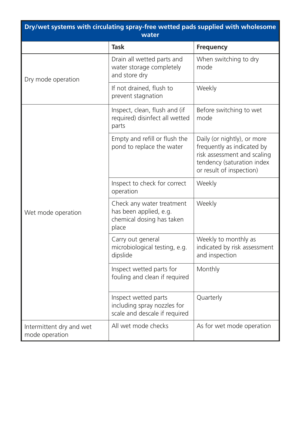| Dry/wet systems with circulating spray-free wetted pads supplied with wholesome<br>water |                                                                                           |                                                                                                                                                    |
|------------------------------------------------------------------------------------------|-------------------------------------------------------------------------------------------|----------------------------------------------------------------------------------------------------------------------------------------------------|
|                                                                                          | Task                                                                                      | Frequency                                                                                                                                          |
| Dry mode operation                                                                       | Drain all wetted parts and<br>water storage completely<br>and store dry                   | When switching to dry<br>mode                                                                                                                      |
|                                                                                          | If not drained, flush to<br>prevent stagnation                                            | Weekly                                                                                                                                             |
| Wet mode operation                                                                       | Inspect, clean, flush and (if<br>required) disinfect all wetted<br>parts                  | Before switching to wet<br>mode                                                                                                                    |
|                                                                                          | Empty and refill or flush the<br>pond to replace the water                                | Daily (or nightly), or more<br>frequently as indicated by<br>risk assessment and scaling<br>tendency (saturation index<br>or result of inspection) |
|                                                                                          | Inspect to check for correct<br>operation                                                 | Weekly                                                                                                                                             |
|                                                                                          | Check any water treatment<br>has been applied, e.g.<br>chemical dosing has taken<br>place | Weekly                                                                                                                                             |
|                                                                                          | Carry out general<br>microbiological testing, e.g.<br>dipslide                            | Weekly to monthly as<br>indicated by risk assessment<br>and inspection                                                                             |
|                                                                                          | Inspect wetted parts for<br>fouling and clean if required                                 | Monthly                                                                                                                                            |
|                                                                                          | Inspect wetted parts<br>including spray nozzles for<br>scale and descale if required      | Quarterly                                                                                                                                          |
| Intermittent dry and wet<br>mode operation                                               | All wet mode checks                                                                       | As for wet mode operation                                                                                                                          |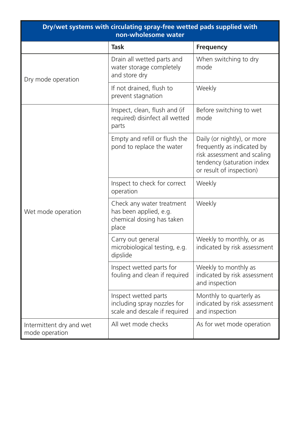| Dry/wet systems with circulating spray-free wetted pads supplied with<br>non-wholesome water |                                                                                           |                                                                                                                                                    |
|----------------------------------------------------------------------------------------------|-------------------------------------------------------------------------------------------|----------------------------------------------------------------------------------------------------------------------------------------------------|
|                                                                                              | Task                                                                                      | <b>Frequency</b>                                                                                                                                   |
| Dry mode operation                                                                           | Drain all wetted parts and<br>water storage completely<br>and store dry                   | When switching to dry<br>mode                                                                                                                      |
|                                                                                              | If not drained, flush to<br>prevent stagnation                                            | Weekly                                                                                                                                             |
| Wet mode operation                                                                           | Inspect, clean, flush and (if<br>required) disinfect all wetted<br>parts                  | Before switching to wet<br>mode                                                                                                                    |
|                                                                                              | Empty and refill or flush the<br>pond to replace the water                                | Daily (or nightly), or more<br>frequently as indicated by<br>risk assessment and scaling<br>tendency (saturation index<br>or result of inspection) |
|                                                                                              | Inspect to check for correct<br>operation                                                 | Weekly                                                                                                                                             |
|                                                                                              | Check any water treatment<br>has been applied, e.g.<br>chemical dosing has taken<br>place | Weekly                                                                                                                                             |
|                                                                                              | Carry out general<br>microbiological testing, e.g.<br>dipslide                            | Weekly to monthly, or as<br>indicated by risk assessment                                                                                           |
|                                                                                              | Inspect wetted parts for<br>fouling and clean if required                                 | Weekly to monthly as<br>indicated by risk assessment<br>and inspection                                                                             |
|                                                                                              | Inspect wetted parts<br>including spray nozzles for<br>scale and descale if required      | Monthly to quarterly as<br>indicated by risk assessment<br>and inspection                                                                          |
| Intermittent dry and wet<br>mode operation                                                   | All wet mode checks                                                                       | As for wet mode operation                                                                                                                          |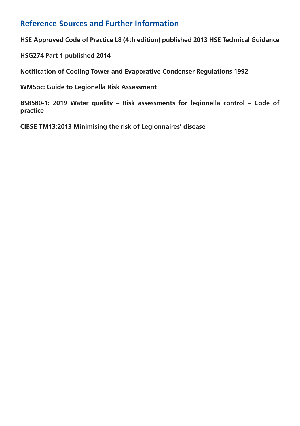### **Reference Sources and Further Information**

**HSE Approved Code of Practice L8 (4th edition) published 2013 HSE Technical Guidance** 

**HSG274 Part 1 published 2014**

**Notification of Cooling Tower and Evaporative Condenser Regulations 1992** 

**WMSoc: Guide to Legionella Risk Assessment**

**BS8580-1: 2019 Water quality – Risk assessments for legionella control – Code of practice** 

**CIBSE TM13:2013 Minimising the risk of Legionnaires' disease**